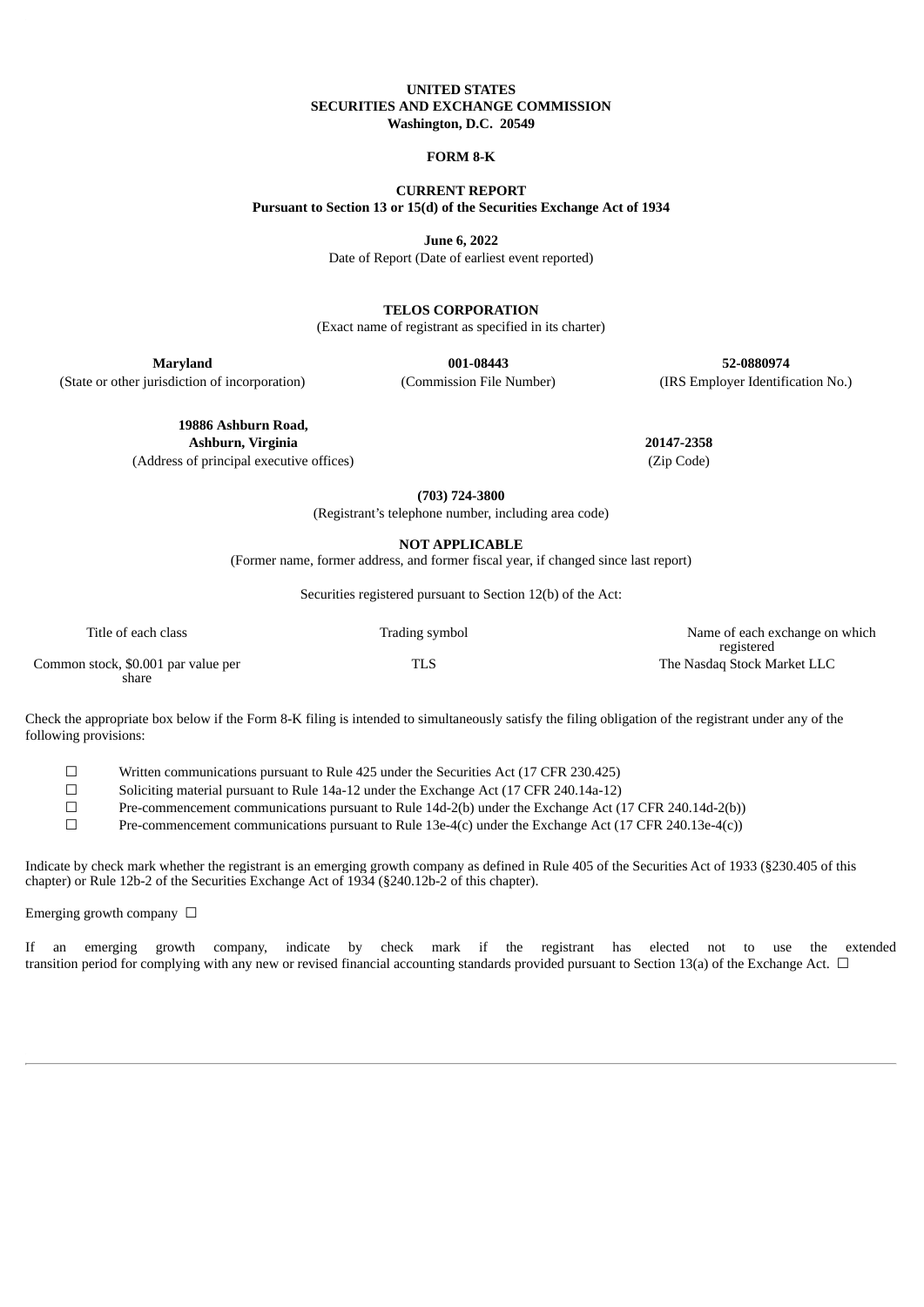#### **UNITED STATES SECURITIES AND EXCHANGE COMMISSION Washington, D.C. 20549**

#### **FORM 8-K**

**CURRENT REPORT Pursuant to Section 13 or 15(d) of the Securities Exchange Act of 1934**

**June 6, 2022**

Date of Report (Date of earliest event reported)

**TELOS CORPORATION**

(Exact name of registrant as specified in its charter)

**Maryland 001-08443 52-0880974**

(State or other jurisdiction of incorporation) (Commission File Number) (IRS Employer Identification No.)

**19886 Ashburn Road,**

**Ashburn, Virginia 20147-2358**

(Address of principal executive offices) (Zip Code)

**(703) 724-3800**

(Registrant's telephone number, including area code)

**NOT APPLICABLE**

(Former name, former address, and former fiscal year, if changed since last report)

Securities registered pursuant to Section 12(b) of the Act:

| Title of each class                          | Trading symbol | Name of each exchange on which<br>registered |
|----------------------------------------------|----------------|----------------------------------------------|
| Common stock, \$0.001 par value per<br>share | TLS            | The Nasdag Stock Market LLC                  |

Check the appropriate box below if the Form 8-K filing is intended to simultaneously satisfy the filing obligation of the registrant under any of the following provisions:

☐ Written communications pursuant to Rule 425 under the Securities Act (17 CFR 230.425)

☐ Soliciting material pursuant to Rule 14a-12 under the Exchange Act (17 CFR 240.14a-12)

☐ Pre-commencement communications pursuant to Rule 14d-2(b) under the Exchange Act (17 CFR 240.14d-2(b))

☐ Pre-commencement communications pursuant to Rule 13e-4(c) under the Exchange Act (17 CFR 240.13e-4(c))

Indicate by check mark whether the registrant is an emerging growth company as defined in Rule 405 of the Securities Act of 1933 (§230.405 of this chapter) or Rule 12b-2 of the Securities Exchange Act of 1934 (§240.12b-2 of this chapter).

Emerging growth company  $\Box$ 

If an emerging growth company, indicate by check mark if the registrant has elected not to use the extended transition period for complying with any new or revised financial accounting standards provided pursuant to Section 13(a) of the Exchange Act. □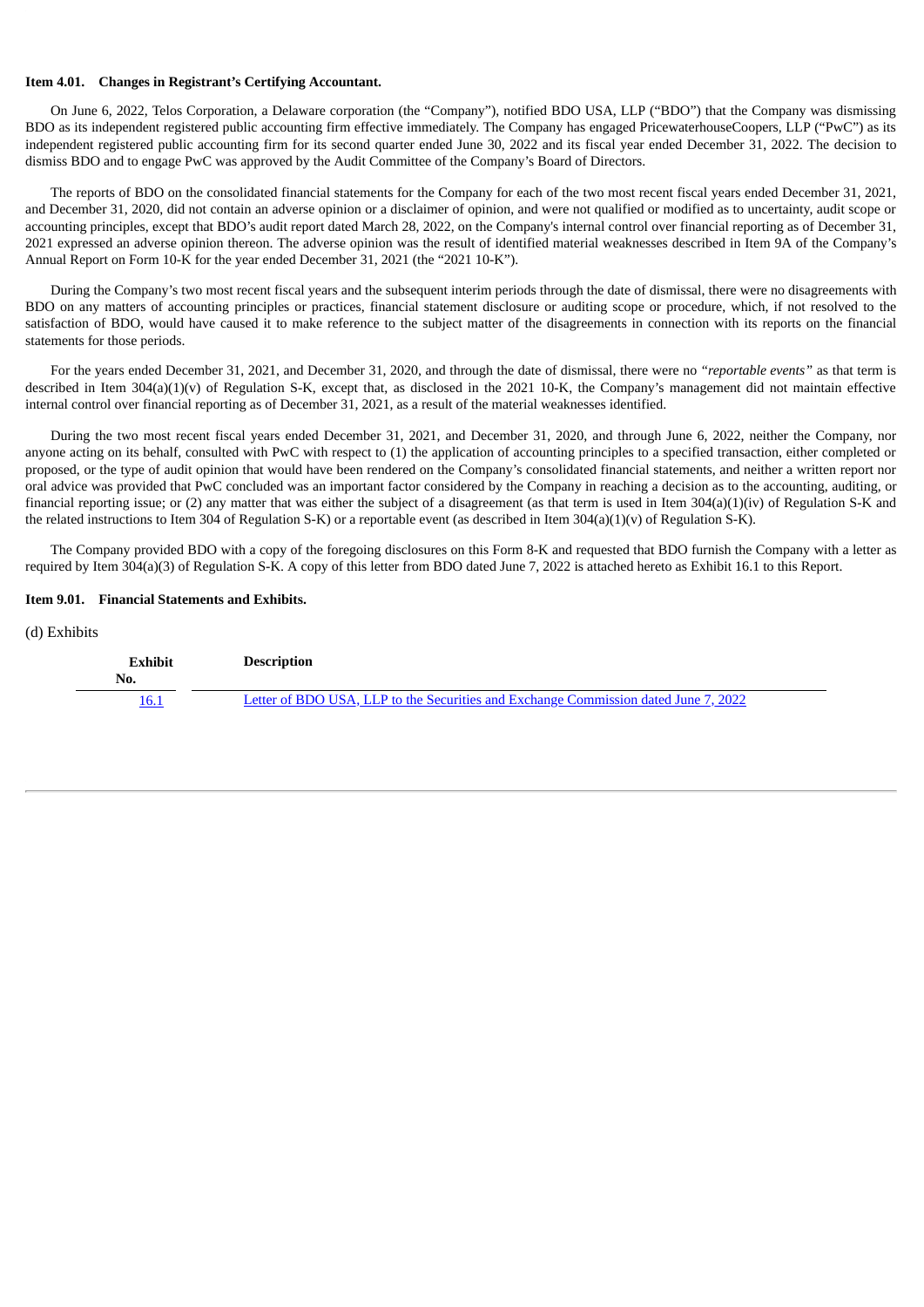#### **Item 4.01. Changes in Registrant's Certifying Accountant.**

On June 6, 2022, Telos Corporation, a Delaware corporation (the "Company"), notified BDO USA, LLP ("BDO") that the Company was dismissing BDO as its independent registered public accounting firm effective immediately. The Company has engaged PricewaterhouseCoopers, LLP ("PwC") as its independent registered public accounting firm for its second quarter ended June 30, 2022 and its fiscal year ended December 31, 2022. The decision to dismiss BDO and to engage PwC was approved by the Audit Committee of the Company's Board of Directors.

The reports of BDO on the consolidated financial statements for the Company for each of the two most recent fiscal years ended December 31, 2021, and December 31, 2020, did not contain an adverse opinion or a disclaimer of opinion, and were not qualified or modified as to uncertainty, audit scope or accounting principles, except that BDO's audit report dated March 28, 2022, on the Company's internal control over financial reporting as of December 31, 2021 expressed an adverse opinion thereon. The adverse opinion was the result of identified material weaknesses described in Item 9A of the Company's Annual Report on Form 10-K for the year ended December 31, 2021 (the "2021 10-K").

During the Company's two most recent fiscal years and the subsequent interim periods through the date of dismissal, there were no disagreements with BDO on any matters of accounting principles or practices, financial statement disclosure or auditing scope or procedure, which, if not resolved to the satisfaction of BDO, would have caused it to make reference to the subject matter of the disagreements in connection with its reports on the financial statements for those periods.

For the years ended December 31, 2021, and December 31, 2020, and through the date of dismissal, there were no *"reportable events"* as that term is described in Item 304(a)(1)(y) of Regulation S-K, except that, as disclosed in the 2021 10-K, the Company's management did not maintain effective internal control over financial reporting as of December 31, 2021, as a result of the material weaknesses identified.

During the two most recent fiscal years ended December 31, 2021, and December 31, 2020, and through June 6, 2022, neither the Company, nor anyone acting on its behalf, consulted with PwC with respect to (1) the application of accounting principles to a specified transaction, either completed or proposed, or the type of audit opinion that would have been rendered on the Company's consolidated financial statements, and neither a written report nor oral advice was provided that PwC concluded was an important factor considered by the Company in reaching a decision as to the accounting, auditing, or financial reporting issue; or (2) any matter that was either the subject of a disagreement (as that term is used in Item 304(a)(1)(iv) of Regulation S-K and the related instructions to Item 304 of Regulation S-K) or a reportable event (as described in Item 304(a)(1)(v) of Regulation S-K).

The Company provided BDO with a copy of the foregoing disclosures on this Form 8-K and requested that BDO furnish the Company with a letter as required by Item 304(a)(3) of Regulation S-K. A copy of this letter from BDO dated June 7, 2022 is attached hereto as Exhibit 16.1 to this Report.

#### **Item 9.01. Financial Statements and Exhibits.**

### (d) Exhibits

| <b>Exhibit</b><br>No. | <b>Description</b>                                                                  |
|-----------------------|-------------------------------------------------------------------------------------|
| 16.1                  | Letter of BDO USA, LLP to the Securities and Exchange Commission dated June 7, 2022 |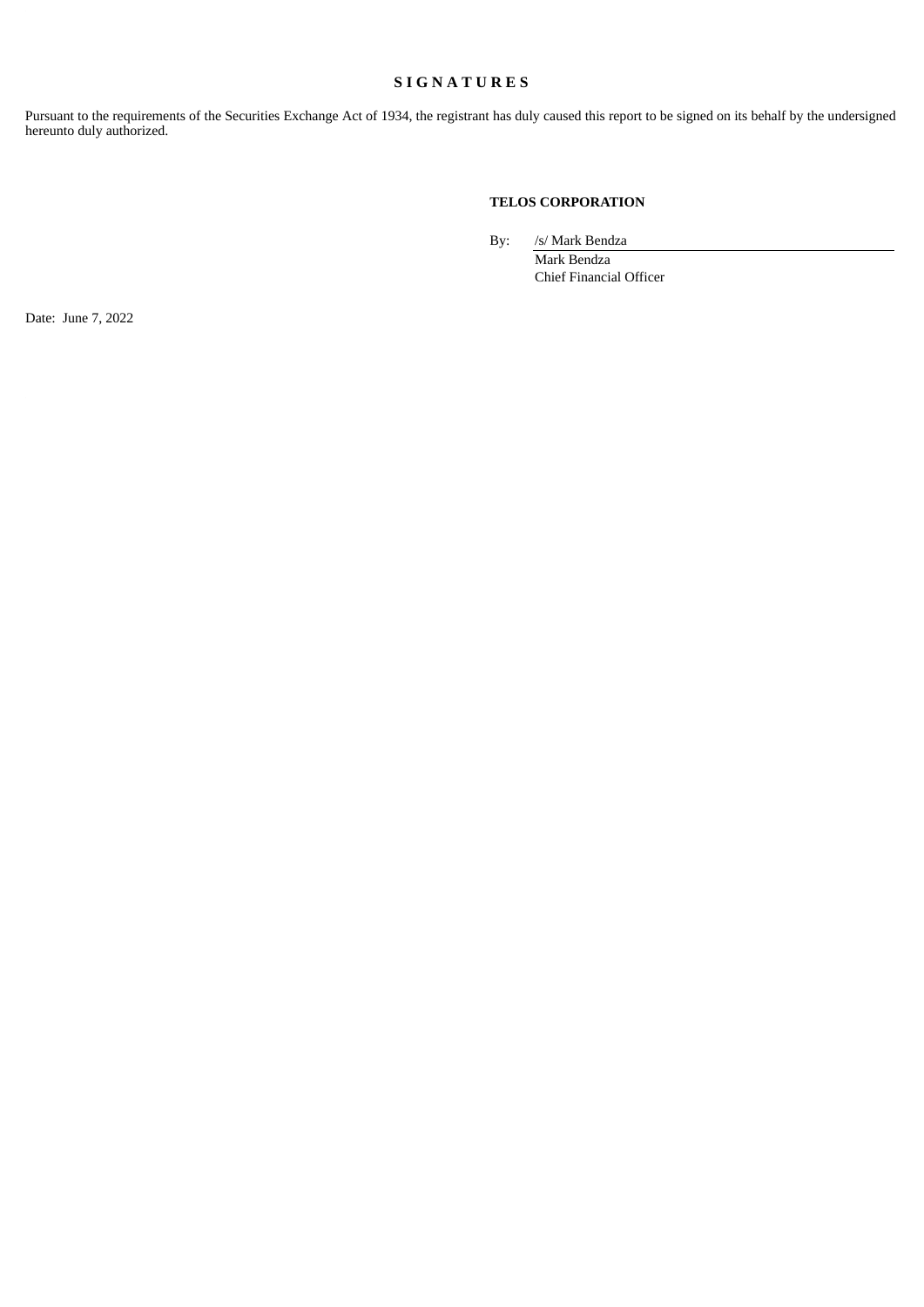# **S I G N A T U R E S**

Pursuant to the requirements of the Securities Exchange Act of 1934, the registrant has duly caused this report to be signed on its behalf by the undersigned hereunto duly authorized.

## **TELOS CORPORATION**

By: /s/ Mark Bendza

Mark Bendza Chief Financial Officer

Date: June 7, 2022